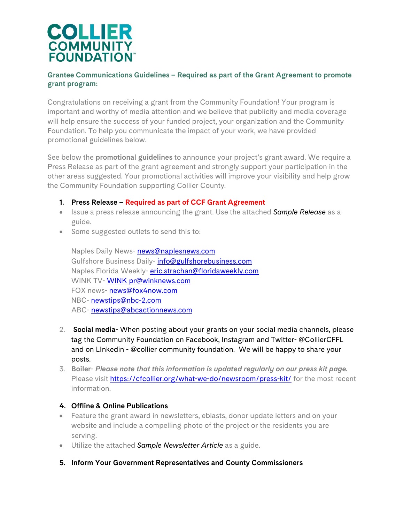

# **Grantee Communications Guidelines – Required as part of the Grant Agreement to promote grant program:**

Congratulations on receiving a grant from the Community Foundation! Your program is important and worthy of media attention and we believe that publicity and media coverage will help ensure the success of your funded project, your organization and the Community Foundation. To help you communicate the impact of your work, we have provided promotional guidelines below.

See below the **promotional guidelines** to announce your project's grant award. We require a Press Release as part of the grant agreement and strongly support your participation in the other areas suggested. Your promotional activities will improve your visibility and help grow the Community Foundation supporting Collier County*.* 

- **1. Press Release Required as part of CCF Grant Agreement**
- Issue a press release announcing the grant. Use the attached *Sample Release* as a guide.
- Some suggested outlets to send this to:

Naples Daily News- [news@naplesnews.com](mailto:news@naplesnews.com) Gulfshore Business Daily- [info@gulfshorebusiness.com](mailto:info@gulfshorebusiness.com) Naples Florida Weekly- eric.strachan[@floridaweekly.c](mailto:eric.strachan@floridaweekly.com)om WINK TV- WINK pr[@winknews.c](mailto:WINK%20pr@winknews.com)om FOX news- [news@fox4now.com](mailto:news@fox4now.com) NBC- [newstips@nbc-2.com](mailto:newstips@nbc-2.com) ABC- [newstips@abcactionnews.com](mailto:newstips@abcactionnews.com)

- 2. **Social media** When posting about your grants on your social media channels, please tag the Community Foundation on Facebook, Instagram and Twitter- @CollierCFFL and on LInkedin - @collier community foundation. We will be happy to share your posts.
- 3. **Boiler** *Please note that this information is updated regularly on our press kit page.* Please visit<https://cfcollier.org/what-we-do/newsroom/press-kit/> for the most recent information.

# **4. Offline & Online Publications**

- Feature the grant award in newsletters, eblasts, donor update letters and on your website and include a compelling photo of the project or the residents you are serving.
- Utilize the attached *Sample Newsletter Article* as a guide.
- **5. Inform Your Government Representatives and County Commissioners**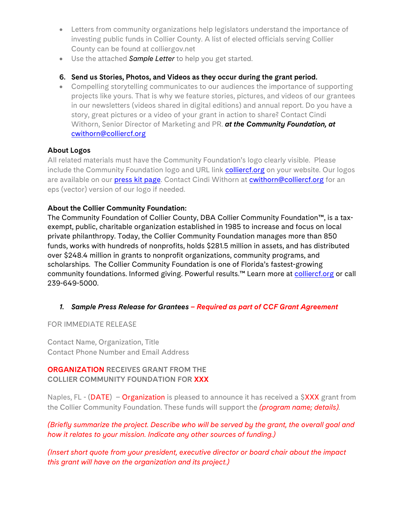- Letters from community organizations help legislators understand the importance of investing public funds in Collier County. A list of elected officials serving Collier County can be found at colliergov.net
- Use the attached *Sample Letter* to help you get started.

# **6. Send us Stories, Photos, and Videos as they occur during the grant period.**

• Compelling storytelling communicates to our audiences the importance of supporting projects like yours. That is why we feature stories, pictures, and videos of our grantees in our newsletters (videos shared in digital editions) and annual report. Do you have a story, great pictures or a video of your grant in action to share? Contact Cindi Withorn, Senior Director of Marketing and PR. *at the Community Foundation, at*  [cwithorn@colliercf.org](mailto:cwithorn@colliercf.org)

# **About Logos**

All related materials must have the Community Foundation's logo clearly visible. Please include the Community Foundation logo and URL link **colliercf.org** on your website. Our logos are available on our **press kit page**. Contact Cindi Withorn at *cwithorn@colliercf.org* for an eps (vector) version of our logo if needed.

# **About the Collier Community Foundation:**

The Community Foundation of Collier County, DBA Collier Community Foundation™, is a taxexempt, public, charitable organization established in 1985 to increase and focus on local private philanthropy. Today, the Collier Community Foundation manages more than 850 funds, works with hundreds of nonprofits, holds \$281.5 million in assets, and has distributed over \$248.4 million in grants to nonprofit organizations, community programs, and scholarships. The Collier Community Foundation is one of Florida's fastest-growing community foundations. Informed giving. Powerful results.<sup>™</sup> Learn more at [colliercf.org](https://colliercf.org/) or call 239-649-5000.

# *1. Sample Press Release for Grantees – Required as part of CCF Grant Agreement*

FOR IMMEDIATE RELEASE

Contact Name, Organization, Title Contact Phone Number and Email Address

# **ORGANIZATION RECEIVES GRANT FROM THE COLLIER COMMUNITY FOUNDATION FOR XXX**

Naples, FL - (DATE) – Organization is pleased to announce it has received a  $\frac{6}{2}$ XXX grant from the Collier Community Foundation. These funds will support the *(program name; details).*

# *(Briefly summarize the project. Describe who will be served by the grant, the overall goal and how it relates to your mission. Indicate any other sources of funding.)*

*(Insert short quote from your president, executive director or board chair about the impact this grant will have on the organization and its project.)*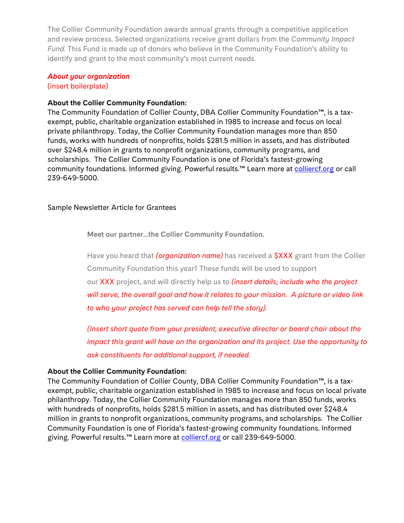The Collier Community Foundation awards annual grants through a competitive application and review process. Selected organizations receive grant dollars from the *Community Impact Fund.* This Fund is made up of donors who believe in the Community Foundation's ability to identify and grant to the most community's most current needs.

### *About your organization*  (insert boilerplate)

### **About the Collier Community Foundation:**

The Community Foundation of Collier County, DBA Collier Community Foundation™, is a taxexempt, public, charitable organization established in 1985 to increase and focus on local private philanthropy. Today, the Collier Community Foundation manages more than 850 funds, works with hundreds of nonprofits, holds \$281.5 million in assets, and has distributed over \$248.4 million in grants to nonprofit organizations, community programs, and scholarships. The Collier Community Foundation is one of Florida's fastest-growing community foundations. Informed giving. Powerful results.<sup>™</sup> Learn more at [colliercf.org](https://colliercf.org/) or call 239-649-5000.

## Sample Newsletter Article for Grantees

**Meet our partner...the Collier Community Foundation.**

Have you heard that *(organization name)* has received a \$XXX grant from the Collier Community Foundation this year? These funds will be used to support our XXX project, and will directly help us to *(insert details; include who the project will serve, the overall goal and how it relates to your mission. A picture or video link to who your project has served can help tell the story).*

*(Insert short quote from your president, executive director or board chair about the impact this grant will have on the organization and its project. Use the opportunity to ask constituents for additional support, if needed.*

#### **About the Collier Community Foundation:**

The Community Foundation of Collier County, DBA Collier Community Foundation™, is a taxexempt, public, charitable organization established in 1985 to increase and focus on local private philanthropy. Today, the Collier Community Foundation manages more than 850 funds, works with hundreds of nonprofits, holds \$281.5 million in assets, and has distributed over \$248.4 million in grants to nonprofit organizations, community programs, and scholarships. The Collier Community Foundation is one of Florida's fastest-growing community foundations. Informed giving. Powerful results.<sup>™</sup> Learn more at [colliercf.org](https://colliercf.org/) or call 239-649-5000.